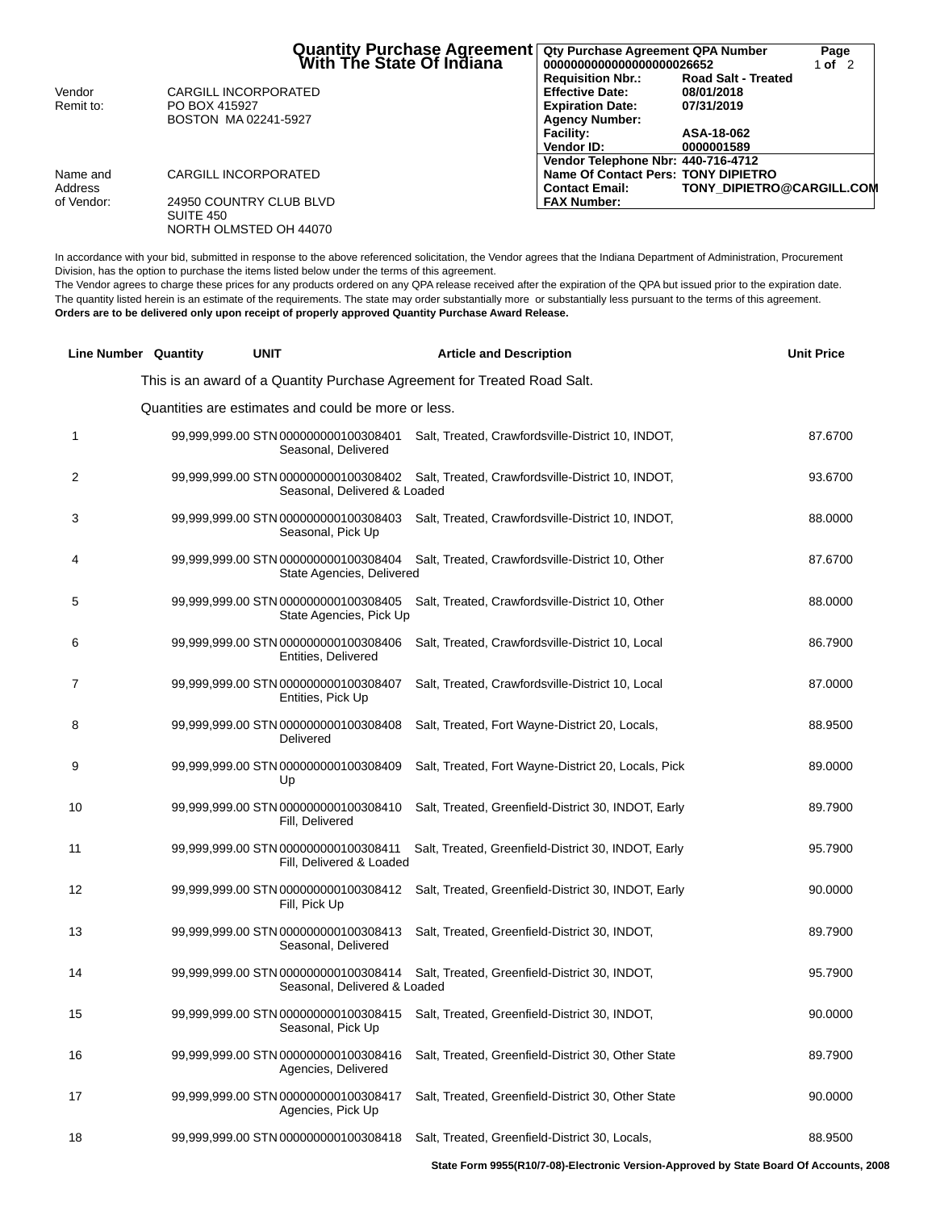|            | <b>Quantity Purchase Agreement</b><br>With The State Of Indiana | Qty Purchase Agreement QPA Number<br>0000000000000000000026652 |                                  | Page<br>1 of $2$ |
|------------|-----------------------------------------------------------------|----------------------------------------------------------------|----------------------------------|------------------|
|            |                                                                 | <b>Requisition Nbr.:</b>                                       | <b>Road Salt - Treated</b>       |                  |
| Vendor     | CARGILL INCORPORATED                                            | <b>Effective Date:</b>                                         | 08/01/2018                       |                  |
| Remit to:  | PO BOX 415927                                                   | <b>Expiration Date:</b>                                        | 07/31/2019                       |                  |
|            | BOSTON MA 02241-5927                                            | <b>Agency Number:</b>                                          |                                  |                  |
|            |                                                                 | <b>Facility:</b>                                               | ASA-18-062                       |                  |
|            |                                                                 | <b>Vendor ID:</b>                                              | 0000001589                       |                  |
|            |                                                                 | Vendor Telephone Nbr: 440-716-4712                             |                                  |                  |
| Name and   | CARGILL INCORPORATED                                            | Name Of Contact Pers: TONY DIPIETRO                            |                                  |                  |
| Address    |                                                                 | <b>Contact Email:</b>                                          | <b>TONY DIPIETRO@CARGILL.COM</b> |                  |
| of Vendor: | 24950 COUNTRY CLUB BLVD                                         | <b>FAX Number:</b>                                             |                                  |                  |
|            | SUITE 450                                                       |                                                                |                                  |                  |
|            | NORTH OLMSTED OH 44070                                          |                                                                |                                  |                  |

In accordance with your bid, submitted in response to the above referenced solicitation, the Vendor agrees that the Indiana Department of Administration, Procurement Division, has the option to purchase the items listed below under the terms of this agreement.

The Vendor agrees to charge these prices for any products ordered on any QPA release received after the expiration of the QPA but issued prior to the expiration date. The quantity listed herein is an estimate of the requirements. The state may order substantially more or substantially less pursuant to the terms of this agreement. **Orders are to be delivered only upon receipt of properly approved Quantity Purchase Award Release.**

|    | <b>Line Number Quantity</b> | <b>UNIT</b>                                                          | <b>Article and Description</b>                                           | <b>Unit Price</b> |
|----|-----------------------------|----------------------------------------------------------------------|--------------------------------------------------------------------------|-------------------|
|    |                             |                                                                      | This is an award of a Quantity Purchase Agreement for Treated Road Salt. |                   |
|    |                             | Quantities are estimates and could be more or less.                  |                                                                          |                   |
| 1  |                             | 99,999,999.00 STN 000000000100308401<br>Seasonal, Delivered          | Salt, Treated, Crawfordsville-District 10, INDOT,                        | 87.6700           |
| 2  |                             | 99,999,999.00 STN 000000000100308402<br>Seasonal, Delivered & Loaded | Salt, Treated, Crawfordsville-District 10, INDOT,                        | 93.6700           |
| 3  |                             | 99,999,999.00 STN 000000000100308403<br>Seasonal, Pick Up            | Salt, Treated, Crawfordsville-District 10, INDOT,                        | 88.0000           |
| 4  |                             | 99,999,999.00 STN 000000000100308404<br>State Agencies, Delivered    | Salt, Treated, Crawfordsville-District 10, Other                         | 87.6700           |
| 5  |                             | 99,999,999.00 STN 000000000100308405<br>State Agencies, Pick Up      | Salt, Treated, Crawfordsville-District 10, Other                         | 88.0000           |
| 6  |                             | 99,999,999.00 STN 000000000100308406<br>Entities, Delivered          | Salt, Treated, Crawfordsville-District 10, Local                         | 86.7900           |
| 7  |                             | 99,999,999.00 STN 000000000100308407<br>Entities, Pick Up            | Salt, Treated, Crawfordsville-District 10, Local                         | 87.0000           |
| 8  |                             | 99,999,999.00 STN 000000000100308408<br>Delivered                    | Salt, Treated, Fort Wayne-District 20, Locals,                           | 88.9500           |
| 9  |                             | 99,999,999.00 STN 000000000100308409<br>Up                           | Salt, Treated, Fort Wayne-District 20, Locals, Pick                      | 89.0000           |
| 10 |                             | 99,999,999.00 STN 000000000100308410<br>Fill, Delivered              | Salt, Treated, Greenfield-District 30, INDOT, Early                      | 89.7900           |
| 11 |                             | 99,999,999.00 STN 000000000100308411<br>Fill, Delivered & Loaded     | Salt, Treated, Greenfield-District 30, INDOT, Early                      | 95.7900           |
| 12 |                             | 99,999,999.00 STN 000000000100308412<br>Fill, Pick Up                | Salt, Treated, Greenfield-District 30, INDOT, Early                      | 90.0000           |
| 13 |                             | 99,999,999.00 STN 000000000100308413<br>Seasonal, Delivered          | Salt, Treated, Greenfield-District 30, INDOT,                            | 89.7900           |
| 14 |                             | 99,999,999.00 STN 000000000100308414<br>Seasonal, Delivered & Loaded | Salt, Treated, Greenfield-District 30, INDOT,                            | 95.7900           |
| 15 |                             | 99,999,999.00 STN 000000000100308415<br>Seasonal, Pick Up            | Salt, Treated, Greenfield-District 30, INDOT,                            | 90.0000           |
| 16 |                             | 99,999,999.00 STN 000000000100308416<br>Agencies, Delivered          | Salt, Treated, Greenfield-District 30, Other State                       | 89.7900           |
| 17 |                             | 99,999,999.00 STN 000000000100308417<br>Agencies, Pick Up            | Salt, Treated, Greenfield-District 30, Other State                       | 90.0000           |
| 18 |                             | 99,999,999.00 STN 000000000100308418                                 | Salt, Treated, Greenfield-District 30, Locals,                           | 88.9500           |